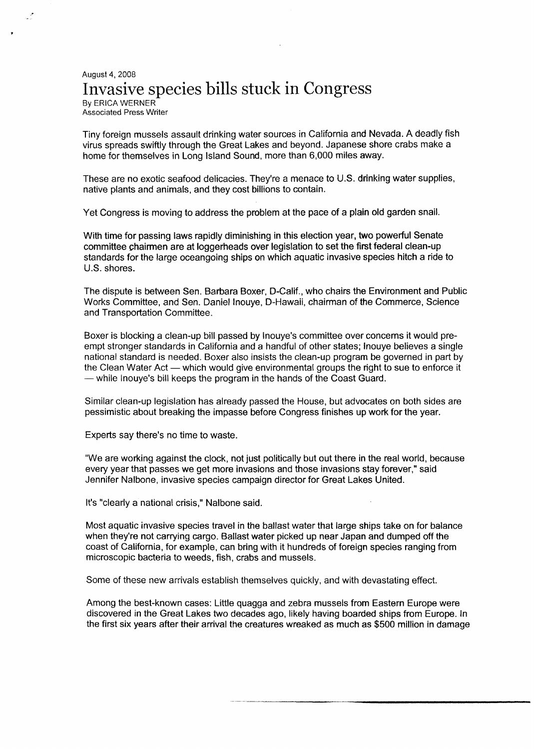## August 4, 2008 Invasive species bills stuck in Congress By ERICA WERNER Associated Press Writer

Tiny foreign mussels assault drinking water sources in California and Nevada. A deadly fish virus spreads swiftly through the Great Lakes and beyond. Japanese shore crabs make a home for themselves in Long Island Sound, more than 6,000 miles away.

These are no exotic seafood delicacies. They're a menace to U.S. drinking water supplies, native plants and animals, and they cost billions to contain.

Yet Congress is moving to address the problem at the pace of a plain old garden snail.

With time for passing laws rapidly diminishing in this election year, two powerful Senate committee chairmen are at loggerheads over legislation to set the first federal clean-up standards for the large oceangoing ships on which aquatic invasive species hitch a ride to U.S. shores.

The dispute is between Sen. Barbara Boxer, D-Calif., who chairs the Environment and Public Works Committee, and Sen. Daniel Inouye, D-Hawaii, chairman of the Commerce, Science and Transportation Committee.

Boxer is blocking a clean-up bill passed by Inouye's committee over concerns it would preempt stronger standards in California and a handful of other states; Inouye believes a single national standard is needed. Boxer also insists the clean-up program be governed in part by the Clean Water Act — which would give environmental groups the right to sue to enforce it - while Inouye's bill keeps the program in the hands of the Coast Guard.

Similar clean-up legislation has already passed the House, but advocates on both sides are pessimistic about breaking the impasse before Congress finishes up work for the year.

Experts say there's no time to waste.

"We are working against the clock, not just politically but out there in the real world, because every year that passes we get more invasions and those invasions stay forever," said Jennifer Nalbone, invasive species campaign director for Great Lakes United.

It's "clearly a national crisis," Nalbone said.

Most aquatic invasive species travel in the ballast water that large ships take on for balance when they're not carrying cargo. Ballast water picked up near Japan and dumped off the coast of California, for example, can bring with it hundreds of foreign species ranging from microscopic bacteria to weeds, fish, crabs and mussels.

Some of these new arrivals establish themselves quickly, and with devastating effect.

Among the best-known cases: Little quagga and zebra mussels from Eastern Europe were discovered in the Great Lakes two decades ago, likely having boarded ships from Europe. In the first six years after their arrival the creatures wreaked as much as \$500 million in damage

--------------